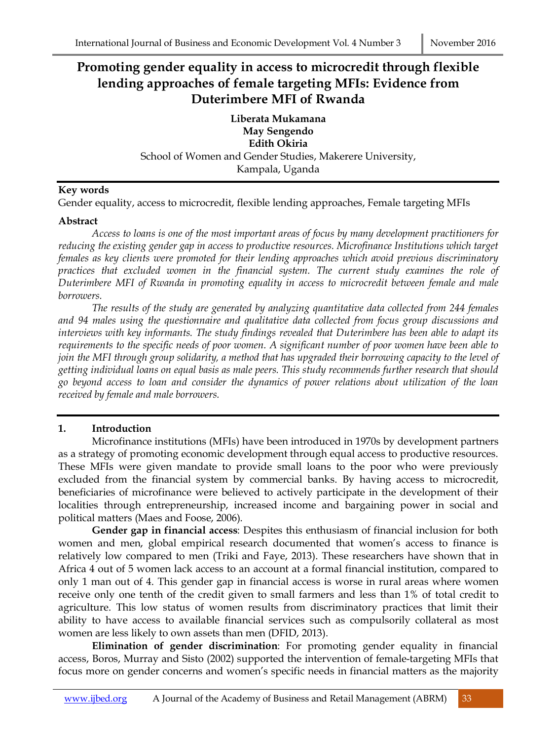# **Promoting gender equality in access to microcredit through flexible lending approaches of female targeting MFIs: Evidence from Duterimbere MFI of Rwanda**

**Liberata Mukamana May Sengendo Edith Okiria** School of Women and Gender Studies, Makerere University, Kampala, Uganda

#### **Key words**

Gender equality, access to microcredit, flexible lending approaches, Female targeting MFIs

#### **Abstract**

*Access to loans is one of the most important areas of focus by many development practitioners for reducing the existing gender gap in access to productive resources. Microfinance Institutions which target females as key clients were promoted for their lending approaches which avoid previous discriminatory practices that excluded women in the financial system. The current study examines the role of Duterimbere MFI of Rwanda in promoting equality in access to microcredit between female and male borrowers.* 

*The results of the study are generated by analyzing quantitative data collected from 244 females and 94 males using the questionnaire and qualitative data collected from focus group discussions and interviews with key informants. The study findings revealed that Duterimbere has been able to adapt its requirements to the specific needs of poor women. A significant number of poor women have been able to join the MFI through group solidarity, a method that has upgraded their borrowing capacity to the level of getting individual loans on equal basis as male peers. This study recommends further research that should go beyond access to loan and consider the dynamics of power relations about utilization of the loan received by female and male borrowers.* 

### **1. Introduction**

Microfinance institutions (MFIs) have been introduced in 1970s by development partners as a strategy of promoting economic development through equal access to productive resources. These MFIs were given mandate to provide small loans to the poor who were previously excluded from the financial system by commercial banks. By having access to microcredit, beneficiaries of microfinance were believed to actively participate in the development of their localities through entrepreneurship, increased income and bargaining power in social and political matters (Maes and Foose, 2006).

**Gender gap in financial access**: Despites this enthusiasm of financial inclusion for both women and men, global empirical research documented that women's access to finance is relatively low compared to men (Triki and Faye, 2013). These researchers have shown that in Africa 4 out of 5 women lack access to an account at a formal financial institution, compared to only 1 man out of 4. This gender gap in financial access is worse in rural areas where women receive only one tenth of the credit given to small farmers and less than 1% of total credit to agriculture. This low status of women results from discriminatory practices that limit their ability to have access to available financial services such as compulsorily collateral as most women are less likely to own assets than men (DFID, 2013).

**Elimination of gender discrimination**: For promoting gender equality in financial access, Boros, Murray and Sisto (2002) supported the intervention of female-targeting MFIs that focus more on gender concerns and women's specific needs in financial matters as the majority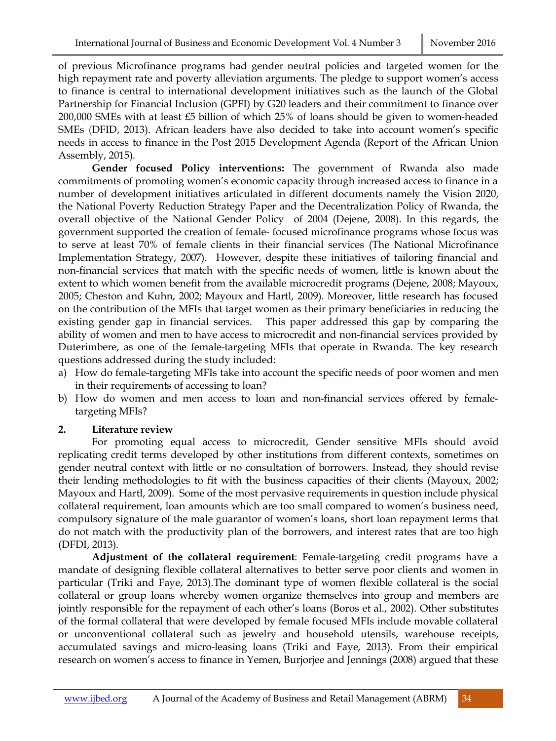of previous Microfinance programs had gender neutral policies and targeted women for the high repayment rate and poverty alleviation arguments. The pledge to support women's access to finance is central to international development initiatives such as the launch of the Global Partnership for Financial Inclusion (GPFI) by G20 leaders and their commitment to finance over 200,000 SMEs with at least £5 billion of which 25% of loans should be given to women-headed SMEs (DFID, 2013). African leaders have also decided to take into account women's specific needs in access to finance in the Post 2015 Development Agenda (Report of the African Union Assembly, 2015).

**Gender focused Policy interventions:** The government of Rwanda also made commitments of promoting women's economic capacity through increased access to finance in a number of development initiatives articulated in different documents namely the Vision 2020, the National Poverty Reduction Strategy Paper and the Decentralization Policy of Rwanda, the overall objective of the National Gender Policy of 2004 (Dejene, 2008). In this regards, the government supported the creation of female- focused microfinance programs whose focus was to serve at least 70% of female clients in their financial services (The National Microfinance Implementation Strategy, 2007). However, despite these initiatives of tailoring financial and non-financial services that match with the specific needs of women, little is known about the extent to which women benefit from the available microcredit programs (Dejene, 2008; Mayoux, 2005; Cheston and Kuhn, 2002; Mayoux and Hartl, 2009). Moreover, little research has focused on the contribution of the MFIs that target women as their primary beneficiaries in reducing the existing gender gap in financial services. This paper addressed this gap by comparing the ability of women and men to have access to microcredit and non-financial services provided by Duterimbere, as one of the female-targeting MFIs that operate in Rwanda. The key research questions addressed during the study included:

- a) How do female-targeting MFIs take into account the specific needs of poor women and men in their requirements of accessing to loan?
- b) How do women and men access to loan and non-financial services offered by femaletargeting MFIs?

## **2. Literature review**

For promoting equal access to microcredit, Gender sensitive MFIs should avoid replicating credit terms developed by other institutions from different contexts, sometimes on gender neutral context with little or no consultation of borrowers. Instead, they should revise their lending methodologies to fit with the business capacities of their clients (Mayoux, 2002; Mayoux and Hartl, 2009). Some of the most pervasive requirements in question include physical collateral requirement, loan amounts which are too small compared to women's business need, compulsory signature of the male guarantor of women's loans, short loan repayment terms that do not match with the productivity plan of the borrowers, and interest rates that are too high (DFDI, 2013).

**Adjustment of the collateral requirement**: Female-targeting credit programs have a mandate of designing flexible collateral alternatives to better serve poor clients and women in particular (Triki and Faye, 2013).The dominant type of women flexible collateral is the social collateral or group loans whereby women organize themselves into group and members are jointly responsible for the repayment of each other's loans (Boros et al., 2002). Other substitutes of the formal collateral that were developed by female focused MFIs include movable collateral or unconventional collateral such as jewelry and household utensils, warehouse receipts, accumulated savings and micro-leasing loans (Triki and Faye, 2013). From their empirical research on women's access to finance in Yemen, Burjorjee and Jennings (2008) argued that these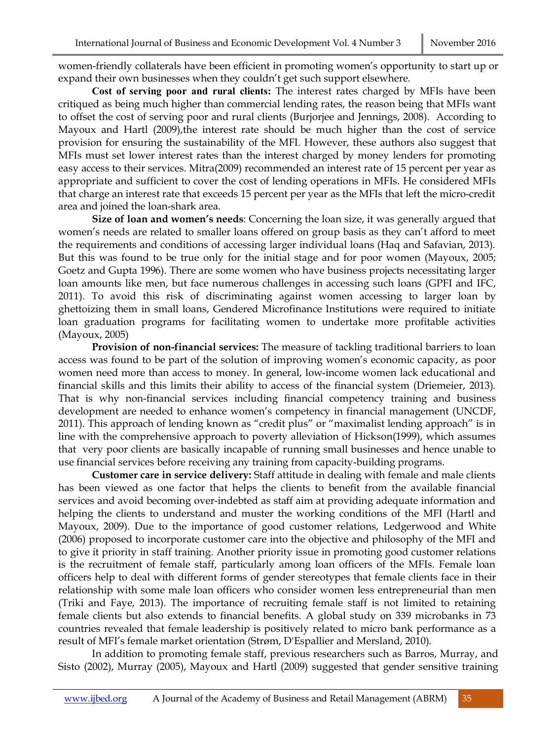women-friendly collaterals have been efficient in promoting women's opportunity to start up or expand their own businesses when they couldn't get such support elsewhere.

**Cost of serving poor and rural clients:** The interest rates charged by MFIs have been critiqued as being much higher than commercial lending rates, the reason being that MFIs want to offset the cost of serving poor and rural clients (Burjorjee and Jennings, 2008). According to Mayoux and Hartl (2009),the interest rate should be much higher than the cost of service provision for ensuring the sustainability of the MFI. However, these authors also suggest that MFIs must set lower interest rates than the interest charged by money lenders for promoting easy access to their services. Mitra(2009) recommended an interest rate of 15 percent per year as appropriate and sufficient to cover the cost of lending operations in MFIs. He considered MFIs that charge an interest rate that exceeds 15 percent per year as the MFIs that left the micro-credit area and joined the loan-shark area.

**Size of loan and women's needs**: Concerning the loan size, it was generally argued that women's needs are related to smaller loans offered on group basis as they can't afford to meet the requirements and conditions of accessing larger individual loans (Haq and Safavian, 2013). But this was found to be true only for the initial stage and for poor women (Mayoux, 2005; Goetz and Gupta 1996). There are some women who have business projects necessitating larger loan amounts like men, but face numerous challenges in accessing such loans (GPFI and IFC, 2011). To avoid this risk of discriminating against women accessing to larger loan by ghettoizing them in small loans, Gendered Microfinance Institutions were required to initiate loan graduation programs for facilitating women to undertake more profitable activities (Mayoux, 2005)

**Provision of non-financial services:** The measure of tackling traditional barriers to loan access was found to be part of the solution of improving women's economic capacity, as poor women need more than access to money. In general, low-income women lack educational and financial skills and this limits their ability to access of the financial system (Driemeier, 2013). That is why non-financial services including financial competency training and business development are needed to enhance women's competency in financial management (UNCDF, 2011). This approach of lending known as "credit plus" or "maximalist lending approach" is in line with the comprehensive approach to poverty alleviation of Hickson(1999), which assumes that very poor clients are basically incapable of running small businesses and hence unable to use financial services before receiving any training from capacity-building programs.

**Customer care in service delivery:** Staff attitude in dealing with female and male clients has been viewed as one factor that helps the clients to benefit from the available financial services and avoid becoming over-indebted as staff aim at providing adequate information and helping the clients to understand and muster the working conditions of the MFI (Hartl and Mayoux, 2009). Due to the importance of good customer relations, Ledgerwood and White (2006) proposed to incorporate customer care into the objective and philosophy of the MFI and to give it priority in staff training. Another priority issue in promoting good customer relations is the recruitment of female staff, particularly among loan officers of the MFIs. Female loan officers help to deal with different forms of gender stereotypes that female clients face in their relationship with some male loan officers who consider women less entrepreneurial than men (Triki and Faye, 2013). The importance of recruiting female staff is not limited to retaining female clients but also extends to financial benefits. A global study on 339 microbanks in 73 countries revealed that female leadership is positively related to micro bank performance as a result of MFI's female market orientation (Strøm, D'Espallier and Mersland, 2010).

In addition to promoting female staff, previous researchers such as Barros, Murray, and Sisto (2002), Murray (2005), Mayoux and Hartl (2009) suggested that gender sensitive training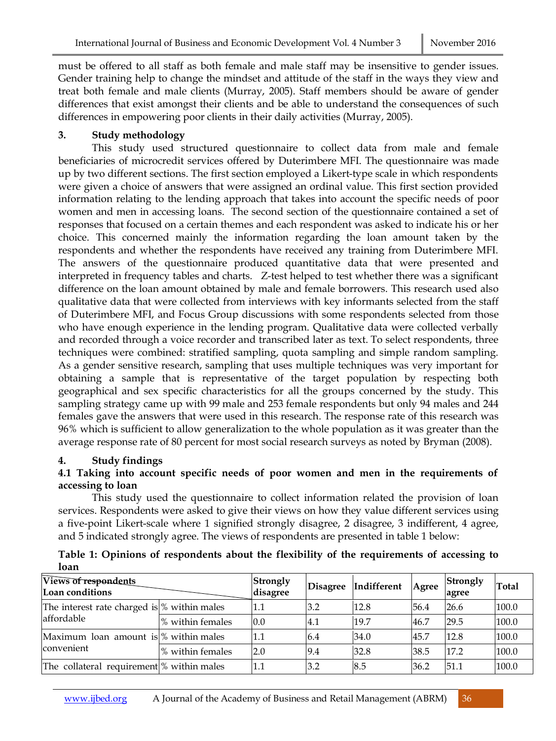must be offered to all staff as both female and male staff may be insensitive to gender issues. Gender training help to change the mindset and attitude of the staff in the ways they view and treat both female and male clients (Murray, 2005). Staff members should be aware of gender differences that exist amongst their clients and be able to understand the consequences of such differences in empowering poor clients in their daily activities (Murray, 2005).

## **3. Study methodology**

This study used structured questionnaire to collect data from male and female beneficiaries of microcredit services offered by Duterimbere MFI. The questionnaire was made up by two different sections. The first section employed a Likert-type scale in which respondents were given a choice of answers that were assigned an ordinal value. This first section provided information relating to the lending approach that takes into account the specific needs of poor women and men in accessing loans. The second section of the questionnaire contained a set of responses that focused on a certain themes and each respondent was asked to indicate his or her choice. This concerned mainly the information regarding the loan amount taken by the respondents and whether the respondents have received any training from Duterimbere MFI. The answers of the questionnaire produced quantitative data that were presented and interpreted in frequency tables and charts. Z-test helped to test whether there was a significant difference on the loan amount obtained by male and female borrowers. This research used also qualitative data that were collected from interviews with key informants selected from the staff of Duterimbere MFI, and Focus Group discussions with some respondents selected from those who have enough experience in the lending program. Qualitative data were collected verbally and recorded through a voice recorder and transcribed later as text. To select respondents, three techniques were combined: stratified sampling, quota sampling and simple random sampling. As a gender sensitive research, sampling that uses multiple techniques was very important for obtaining a sample that is representative of the target population by respecting both geographical and sex specific characteristics for all the groups concerned by the study. This sampling strategy came up with 99 male and 253 female respondents but only 94 males and 244 females gave the answers that were used in this research. The response rate of this research was 96% which is sufficient to allow generalization to the whole population as it was greater than the average response rate of 80 percent for most social research surveys as noted by Bryman (2008).

### **4. Study findings**

## **4.1 Taking into account specific needs of poor women and men in the requirements of accessing to loan**

This study used the questionnaire to collect information related the provision of loan services. Respondents were asked to give their views on how they value different services using a five-point Likert-scale where 1 signified strongly disagree, 2 disagree, 3 indifferent, 4 agree, and 5 indicated strongly agree. The views of respondents are presented in table 1 below:

| wan                                                         |                  |                      |     |                      |       |                   |              |
|-------------------------------------------------------------|------------------|----------------------|-----|----------------------|-------|-------------------|--------------|
| Views of respondents<br>Loan conditions                     |                  | Strongly<br>disagree |     | Disagree Indifferent | Agree | Strongly<br>agree | <b>Total</b> |
| The interest rate charged is $%$ within males<br>affordable |                  | 1.1                  | 3.2 | 12.8                 | 56.4  | 26.6              | 100.0        |
|                                                             | % within females | 0.0                  | 4.1 | 19.7                 | 46.7  | 29.5              | 100.0        |
| Maximum loan amount is \% within males<br>convenient        |                  | 1.1                  | 6.4 | 34.0                 | 45.7  | 12.8              | 100.0        |
|                                                             | % within females | 2.0                  | 9.4 | 32.8                 | 38.5  | 17.2              | 100.0        |
| The collateral requirement \% within males                  |                  | 1.1                  | 3.2 | 8.5                  | 36.2  | 51.1              | 100.0        |

**Table 1: Opinions of respondents about the flexibility of the requirements of accessing to loan**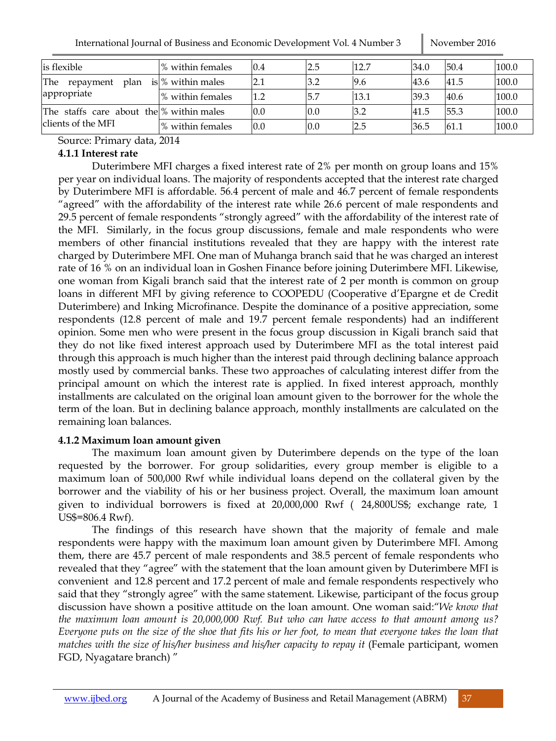| is flexible                              | % within females    | 0.4 | 2.5  | 12.7 | 34.0 | 50.4 | 100.0 |
|------------------------------------------|---------------------|-----|------|------|------|------|-------|
| The<br>plan<br>repayment                 | is $%$ within males |     | 3.2  | 9.6  | 43.6 | 41.5 | 100.0 |
| appropriate                              | % within females    | 1.2 | 15.7 | 13.1 | 39.3 | 40.6 | 100.0 |
| The staffs care about the % within males |                     | 0.0 | 0.0  | 3.2  | 41.5 | 55.3 | 100.0 |
| clients of the MFI                       | % within females    | 0.0 | 0.0  | 2.5  | 36.5 | 61.1 | 100.0 |

Source: Primary data, 2014

## **4.1.1 Interest rate**

Duterimbere MFI charges a fixed interest rate of 2% per month on group loans and 15% per year on individual loans. The majority of respondents accepted that the interest rate charged by Duterimbere MFI is affordable. 56.4 percent of male and 46.7 percent of female respondents "agreed" with the affordability of the interest rate while 26.6 percent of male respondents and 29.5 percent of female respondents "strongly agreed" with the affordability of the interest rate of the MFI. Similarly, in the focus group discussions, female and male respondents who were members of other financial institutions revealed that they are happy with the interest rate charged by Duterimbere MFI. One man of Muhanga branch said that he was charged an interest rate of 16 % on an individual loan in Goshen Finance before joining Duterimbere MFI. Likewise, one woman from Kigali branch said that the interest rate of 2 per month is common on group loans in different MFI by giving reference to COOPEDU (Cooperative d'Epargne et de Credit Duterimbere) and Inking Microfinance. Despite the dominance of a positive appreciation, some respondents (12.8 percent of male and 19.7 percent female respondents) had an indifferent opinion. Some men who were present in the focus group discussion in Kigali branch said that they do not like fixed interest approach used by Duterimbere MFI as the total interest paid through this approach is much higher than the interest paid through declining balance approach mostly used by commercial banks. These two approaches of calculating interest differ from the principal amount on which the interest rate is applied. In fixed interest approach, monthly installments are calculated on the original loan amount given to the borrower for the whole the term of the loan. But in declining balance approach, monthly installments are calculated on the remaining loan balances.

## **4.1.2 Maximum loan amount given**

The maximum loan amount given by Duterimbere depends on the type of the loan requested by the borrower. For group solidarities, every group member is eligible to a maximum loan of 500,000 Rwf while individual loans depend on the collateral given by the borrower and the viability of his or her business project. Overall, the maximum loan amount given to individual borrowers is fixed at 20,000,000 Rwf ( 24,800US\$; exchange rate, 1 US\$=806.4 Rwf).

The findings of this research have shown that the majority of female and male respondents were happy with the maximum loan amount given by Duterimbere MFI. Among them, there are 45.7 percent of male respondents and 38.5 percent of female respondents who revealed that they "agree" with the statement that the loan amount given by Duterimbere MFI is convenient and 12.8 percent and 17.2 percent of male and female respondents respectively who said that they "strongly agree" with the same statement. Likewise, participant of the focus group discussion have shown a positive attitude on the loan amount. One woman said:"*We know that the maximum loan amount is 20,000,000 Rwf. But who can have access to that amount among us? Everyone puts on the size of the shoe that fits his or her foot, to mean that everyone takes the loan that matches with the size of his/her business and his/her capacity to repay it* (Female participant, women FGD, Nyagatare branch) "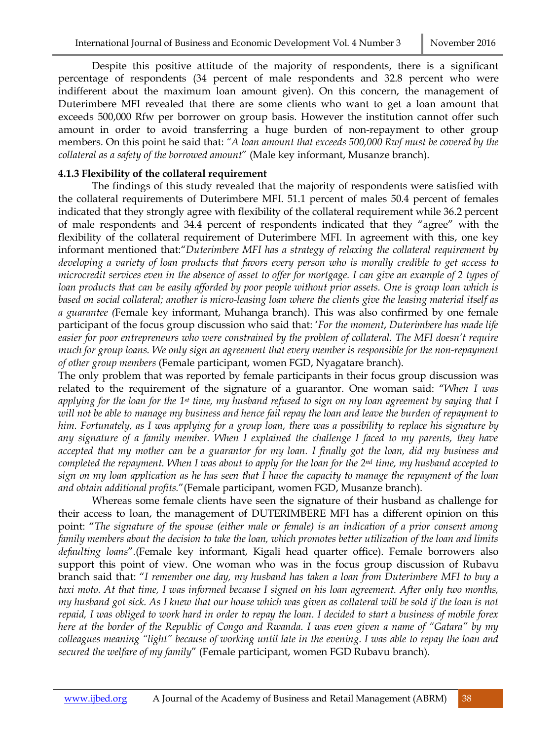Despite this positive attitude of the majority of respondents, there is a significant percentage of respondents (34 percent of male respondents and 32.8 percent who were indifferent about the maximum loan amount given). On this concern, the management of Duterimbere MFI revealed that there are some clients who want to get a loan amount that exceeds 500,000 Rfw per borrower on group basis. However the institution cannot offer such amount in order to avoid transferring a huge burden of non-repayment to other group members. On this point he said that: *"A loan amount that exceeds 500,000 Rwf must be covered by the collateral as a safety of the borrowed amount*" (Male key informant, Musanze branch).

#### **4.1.3 Flexibility of the collateral requirement**

The findings of this study revealed that the majority of respondents were satisfied with the collateral requirements of Duterimbere MFI. 51.1 percent of males 50.4 percent of females indicated that they strongly agree with flexibility of the collateral requirement while 36.2 percent of male respondents and 34.4 percent of respondents indicated that they "agree" with the flexibility of the collateral requirement of Duterimbere MFI. In agreement with this, one key informant mentioned that:"*Duterimbere MFI has a strategy of relaxing the collateral requirement by developing a variety of loan products that favors every person who is morally credible to get access to microcredit services even in the absence of asset to offer for mortgage. I can give an example of 2 types of loan products that can be easily afforded by poor people without prior assets. One is group loan which is based on social collateral; another is micro-leasing loan where the clients give the leasing material itself as a guarantee (*Female key informant, Muhanga branch). This was also confirmed by one female participant of the focus group discussion who said that: '*For the moment*, *Duterimbere has made life easier for poor entrepreneurs who were constrained by the problem of collateral. The MFI doesn't require much for group loans. We only sign an agreement that every member is responsible for the non-repayment of other group members* (Female participant, women FGD, Nyagatare branch).

The only problem that was reported by female participants in their focus group discussion was related to the requirement of the signature of a guarantor. One woman said: "*When I was applying for the loan for the 1st time, my husband refused to sign on my loan agreement by saying that I will not be able to manage my business and hence fail repay the loan and leave the burden of repayment to him. Fortunately, as I was applying for a group loan, there was a possibility to replace his signature by any signature of a family member. When I explained the challenge I faced to my parents, they have accepted that my mother can be a guarantor for my loan. I finally got the loan, did my business and completed the repayment. When I was about to apply for the loan for the 2nd time, my husband accepted to sign on my loan application as he has seen that I have the capacity to manage the repayment of the loan and obtain additional profits.*"(Female participant, women FGD, Musanze branch).

Whereas some female clients have seen the signature of their husband as challenge for their access to loan, the management of DUTERIMBERE MFI has a different opinion on this point: "*The signature of the spouse (either male or female) is an indication of a prior consent among family members about the decision to take the loan, which promotes better utilization of the loan and limits defaulting loans*".(Female key informant, Kigali head quarter office). Female borrowers also support this point of view. One woman who was in the focus group discussion of Rubavu branch said that: "*I remember one day, my husband has taken a loan from Duterimbere MFI to buy a taxi moto. At that time, I was informed because I signed on his loan agreement. After only two months, my husband got sick. As I knew that our house which was given as collateral will be sold if the loan is not repaid, I was obliged to work hard in order to repay the loan. I decided to start a business of mobile forex here at the border of the Republic of Congo and Rwanda. I was even given a name of "Gatara" by my colleagues meaning "light" because of working until late in the evening. I was able to repay the loan and secured the welfare of my family*" (Female participant, women FGD Rubavu branch).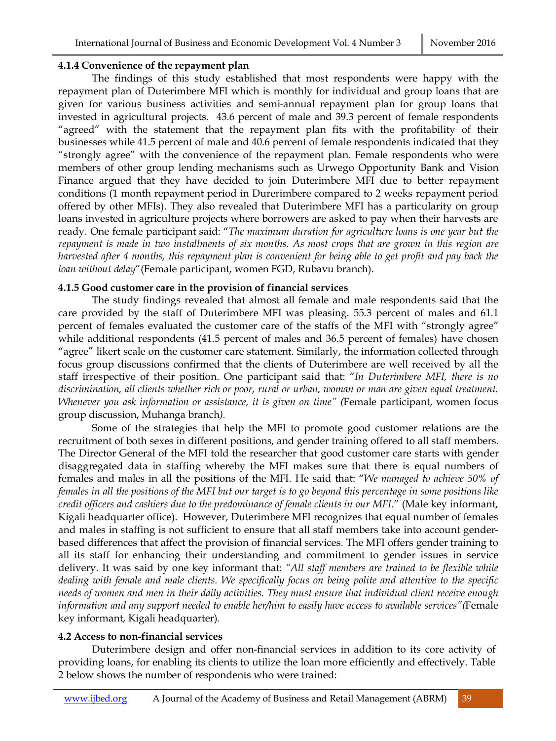#### **4.1.4 Convenience of the repayment plan**

The findings of this study established that most respondents were happy with the repayment plan of Duterimbere MFI which is monthly for individual and group loans that are given for various business activities and semi-annual repayment plan for group loans that invested in agricultural projects. 43.6 percent of male and 39.3 percent of female respondents "agreed" with the statement that the repayment plan fits with the profitability of their businesses while 41.5 percent of male and 40.6 percent of female respondents indicated that they "strongly agree" with the convenience of the repayment plan. Female respondents who were members of other group lending mechanisms such as Urwego Opportunity Bank and Vision Finance argued that they have decided to join Duterimbere MFI due to better repayment conditions (1 month repayment period in Durerimbere compared to 2 weeks repayment period offered by other MFIs). They also revealed that Duterimbere MFI has a particularity on group loans invested in agriculture projects where borrowers are asked to pay when their harvests are ready. One female participant said: "*The maximum duration for agriculture loans is one year but the repayment is made in two installments of six months. As most crops that are grown in this region are harvested after 4 months, this repayment plan is convenient for being able to get profit and pay back the loan without delay*"(Female participant, women FGD, Rubavu branch).

### **4.1.5 Good customer care in the provision of financial services**

The study findings revealed that almost all female and male respondents said that the care provided by the staff of Duterimbere MFI was pleasing. 55.3 percent of males and 61.1 percent of females evaluated the customer care of the staffs of the MFI with "strongly agree" while additional respondents (41.5 percent of males and 36.5 percent of females) have chosen "agree" likert scale on the customer care statement. Similarly, the information collected through focus group discussions confirmed that the clients of Duterimbere are well received by all the staff irrespective of their position. One participant said that: "*In Duterimbere MFI, there is no discrimination, all clients whether rich or poor, rural or urban, woman or man are given equal treatment. Whenever you ask information or assistance, it is given on time" (*Female participant, women focus group discussion, Muhanga branch*).* 

Some of the strategies that help the MFI to promote good customer relations are the recruitment of both sexes in different positions, and gender training offered to all staff members. The Director General of the MFI told the researcher that good customer care starts with gender disaggregated data in staffing whereby the MFI makes sure that there is equal numbers of females and males in all the positions of the MFI. He said that: "*We managed to achieve 50% of females in all the positions of the MFI but our target is to go beyond this percentage in some positions like credit officers and cashiers due to the predominance of female clients in our MFI*." (Male key informant, Kigali headquarter office). However, Duterimbere MFI recognizes that equal number of females and males in staffing is not sufficient to ensure that all staff members take into account genderbased differences that affect the provision of financial services. The MFI offers gender training to all its staff for enhancing their understanding and commitment to gender issues in service delivery. It was said by one key informant that: *"All staff members are trained to be flexible while dealing with female and male clients. We specifically focus on being polite and attentive to the specific needs of women and men in their daily activities. They must ensure that individual client receive enough information and any support needed to enable her/him to easily have access to available services"(*Female key informant, Kigali headquarter)*.* 

### **4.2 Access to non-financial services**

Duterimbere design and offer non-financial services in addition to its core activity of providing loans, for enabling its clients to utilize the loan more efficiently and effectively. Table 2 below shows the number of respondents who were trained: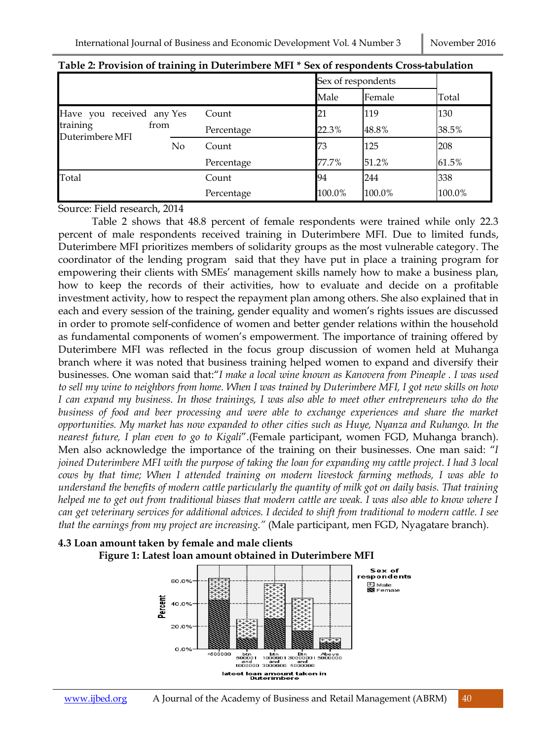| Tubic = 110 vision of training in Batchinibere Mill |    |            |                    | oca of respondence eross modification |        |
|-----------------------------------------------------|----|------------|--------------------|---------------------------------------|--------|
|                                                     |    |            | Sex of respondents |                                       |        |
|                                                     |    |            | Male               | Female                                | Total  |
| Have you received any Yes                           |    | Count      | 21                 | 119                                   | 130    |
| training<br>from<br>Duterimbere MFI                 |    | Percentage | 22.3%              | 48.8%                                 | 38.5%  |
|                                                     | No | Count      | 73                 | 125                                   | 208    |
|                                                     |    | Percentage | 77.7%              | 51.2%                                 | 61.5%  |
| Total                                               |    | Count      | 94                 | 244                                   | 338    |
|                                                     |    | Percentage | 100.0%             | 100.0%                                | 100.0% |

Source: Field research, 2014

Table 2 shows that 48.8 percent of female respondents were trained while only 22.3 percent of male respondents received training in Duterimbere MFI. Due to limited funds, Duterimbere MFI prioritizes members of solidarity groups as the most vulnerable category. The coordinator of the lending program said that they have put in place a training program for empowering their clients with SMEs' management skills namely how to make a business plan, how to keep the records of their activities, how to evaluate and decide on a profitable investment activity, how to respect the repayment plan among others. She also explained that in each and every session of the training, gender equality and women's rights issues are discussed in order to promote self-confidence of women and better gender relations within the household as fundamental components of women's empowerment. The importance of training offered by Duterimbere MFI was reflected in the focus group discussion of women held at Muhanga branch where it was noted that business training helped women to expand and diversify their businesses. One woman said that:"*I make a local wine known as Kanovera from Pineaple . I was used to sell my wine to neighbors from home. When I was trained by Duterimbere MFI, I got new skills on how I can expand my business. In those trainings, I was also able to meet other entrepreneurs who do the business of food and beer processing and were able to exchange experiences and share the market opportunities. My market has now expanded to other cities such as Huye, Nyanza and Ruhango. In the nearest future, I plan even to go to Kigali*".(Female participant, women FGD, Muhanga branch). Men also acknowledge the importance of the training on their businesses. One man said: "*I joined Duterimbere MFI with the purpose of taking the loan for expanding my cattle project. I had 3 local cows by that time; When I attended training on modern livestock farming methods, I was able to understand the benefits of modern cattle particularly the quantity of milk got on daily basis. That training helped me to get out from traditional biases that modern cattle are weak. I was also able to know where I can get veterinary services for additional advices. I decided to shift from traditional to modern cattle. I see that the earnings from my project are increasing."* (Male participant, men FGD, Nyagatare branch).



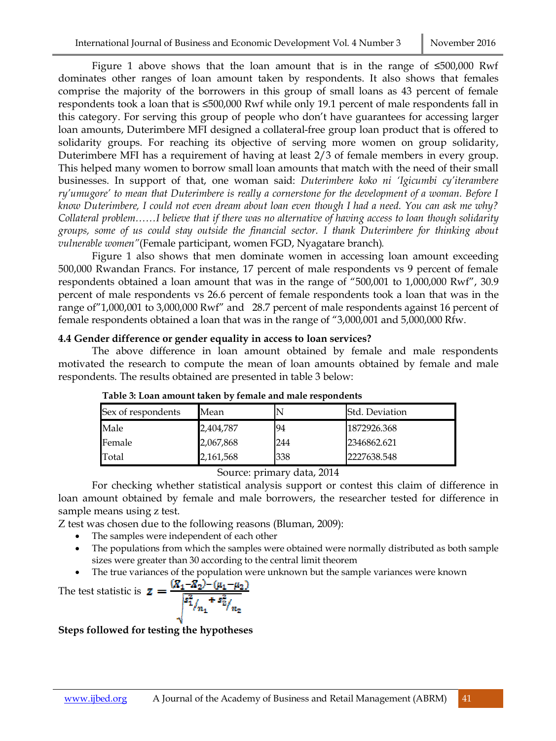Figure 1 above shows that the loan amount that is in the range of ≤500,000 Rwf dominates other ranges of loan amount taken by respondents. It also shows that females comprise the majority of the borrowers in this group of small loans as 43 percent of female respondents took a loan that is ≤500,000 Rwf while only 19.1 percent of male respondents fall in this category. For serving this group of people who don't have guarantees for accessing larger loan amounts, Duterimbere MFI designed a collateral-free group loan product that is offered to solidarity groups. For reaching its objective of serving more women on group solidarity, Duterimbere MFI has a requirement of having at least 2/3 of female members in every group. This helped many women to borrow small loan amounts that match with the need of their small businesses. In support of that, one woman said: *Duterimbere koko ni 'Igicumbi cy'iterambere ry'umugore' to mean that Duterimbere is really a cornerstone for the development of a woman. Before I know Duterimbere, I could not even dream about loan even though I had a need. You can ask me why? Collateral problem……I believe that if there was no alternative of having access to loan though solidarity groups, some of us could stay outside the financial sector. I thank Duterimbere for thinking about vulnerable women"*(Female participant, women FGD, Nyagatare branch)*.* 

Figure 1 also shows that men dominate women in accessing loan amount exceeding 500,000 Rwandan Francs. For instance, 17 percent of male respondents vs 9 percent of female respondents obtained a loan amount that was in the range of "500,001 to 1,000,000 Rwf", 30.9 percent of male respondents vs 26.6 percent of female respondents took a loan that was in the range of"1,000,001 to 3,000,000 Rwf" and 28.7 percent of male respondents against 16 percent of female respondents obtained a loan that was in the range of "3,000,001 and 5,000,000 Rfw.

#### **4.4 Gender difference or gender equality in access to loan services?**

The above difference in loan amount obtained by female and male respondents motivated the research to compute the mean of loan amounts obtained by female and male respondents. The results obtained are presented in table 3 below:

| Sex of respondents | Mean      |     | <b>Std. Deviation</b> |
|--------------------|-----------|-----|-----------------------|
| Male               | 2,404,787 | 94  | 1872926.368           |
| Female             | 2,067,868 | 244 | 2346862.621           |
| Total              | 2,161,568 | 338 | 2227638.548           |

**Table 3: Loan amount taken by female and male respondents**

#### Source: primary data, 2014

For checking whether statistical analysis support or contest this claim of difference in loan amount obtained by female and male borrowers, the researcher tested for difference in sample means using z test.

Z test was chosen due to the following reasons (Bluman, 2009):

- The samples were independent of each other
- The populations from which the samples were obtained were normally distributed as both sample sizes were greater than 30 according to the central limit theorem
- The true variances of the population were unknown but the sample variances were known

The test statistic is 
$$
\mathbf{z} = \frac{(\mathbf{X}_1 - \mathbf{X}_2) - (\mu_1 - \mu_2)}{\sqrt{\frac{s_1^2}{n_1} + \frac{s_2^2}{n_2}}}
$$

**Steps followed for testing the hypotheses**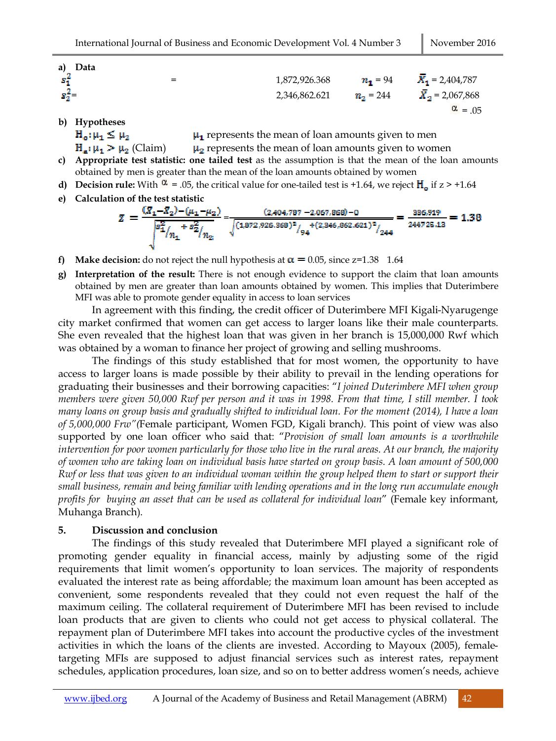$\alpha$  = .05

| a) Data   |     |               |                   |                              |
|-----------|-----|---------------|-------------------|------------------------------|
| - sf      | $=$ | 1,872,926.368 | $n_1 = 94$        | $\overline{X}_1$ = 2,404,787 |
| $s_2^2 =$ |     | 2,346,862.621 | $n_{\rm o} = 244$ | $\overline{X}_2$ = 2,067,868 |

**b) Hypotheses**

 $H_o: \mu_1 \leq \mu_2$  $\mu_1$  represents the mean of loan amounts given to men

 $H_a: \mu_1 > \mu_2$  (Claim)  $\mu_2$  represents the mean of loan amounts given to women

- **c) Appropriate test statistic: one tailed test** as the assumption is that the mean of the loan amounts obtained by men is greater than the mean of the loan amounts obtained by women
- **d)** Decision rule: With  $\alpha$  = .05, the critical value for one-tailed test is +1.64, we reject  $H_o$  if  $z > +1.64$
- **e) Calculation of the test statistic**

$$
Z = \frac{(\bar{x}_1 - \bar{x}_2) - (\mu_1 - \mu_2)}{\sqrt{\frac{s_1^2}{n_1} + \frac{s_2^2}{n_2}}}\n= \frac{(2,404,787 - 2,067,868) - 0}{\sqrt{(1,872,926,368)^2/\frac{4}{94}(2,346,862,621)^2}/244}}\n= \frac{336,919}{244725,13} = 1.38
$$

- **f) Make decision:** do not reject the null hypothesis at  $\alpha = 0.05$ , since z=1.38 1.64
- **g) Interpretation of the result:** There is not enough evidence to support the claim that loan amounts obtained by men are greater than loan amounts obtained by women. This implies that Duterimbere MFI was able to promote gender equality in access to loan services

In agreement with this finding, the credit officer of Duterimbere MFI Kigali-Nyarugenge city market confirmed that women can get access to larger loans like their male counterparts. She even revealed that the highest loan that was given in her branch is 15,000,000 Rwf which was obtained by a woman to finance her project of growing and selling mushrooms.

The findings of this study established that for most women, the opportunity to have access to larger loans is made possible by their ability to prevail in the lending operations for graduating their businesses and their borrowing capacities: "*I joined Duterimbere MFI when group members were given 50,000 Rwf per person and it was in 1998. From that time, I still member. I took many loans on group basis and gradually shifted to individual loan. For the moment (2014), I have a loan of 5,000,000 Frw"(*Female participant, Women FGD, Kigali branch*).* This point of view was also supported by one loan officer who said that: "*Provision of small loan amounts is a worthwhile intervention for poor women particularly for those who live in the rural areas. At our branch, the majority of women who are taking loan on individual basis have started on group basis. A loan amount of 500,000 Rwf or less that was given to an individual woman within the group helped them to start or support their small business, remain and being familiar with lending operations and in the long run accumulate enough profits for buying an asset that can be used as collateral for individual loan*" (Female key informant, Muhanga Branch).

#### **5. Discussion and conclusion**

The findings of this study revealed that Duterimbere MFI played a significant role of promoting gender equality in financial access, mainly by adjusting some of the rigid requirements that limit women's opportunity to loan services. The majority of respondents evaluated the interest rate as being affordable; the maximum loan amount has been accepted as convenient, some respondents revealed that they could not even request the half of the maximum ceiling. The collateral requirement of Duterimbere MFI has been revised to include loan products that are given to clients who could not get access to physical collateral. The repayment plan of Duterimbere MFI takes into account the productive cycles of the investment activities in which the loans of the clients are invested. According to Mayoux (2005), femaletargeting MFIs are supposed to adjust financial services such as interest rates, repayment schedules, application procedures, loan size, and so on to better address women's needs, achieve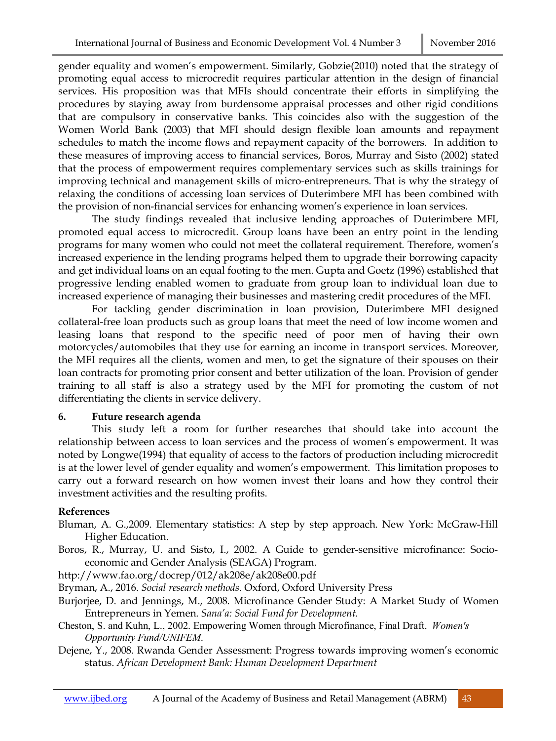gender equality and women's empowerment. Similarly, Gobzie(2010) noted that the strategy of promoting equal access to microcredit requires particular attention in the design of financial services. His proposition was that MFIs should concentrate their efforts in simplifying the procedures by staying away from burdensome appraisal processes and other rigid conditions that are compulsory in conservative banks. This coincides also with the suggestion of the Women World Bank (2003) that MFI should design flexible loan amounts and repayment schedules to match the income flows and repayment capacity of the borrowers. In addition to these measures of improving access to financial services, Boros, Murray and Sisto (2002) stated that the process of empowerment requires complementary services such as skills trainings for improving technical and management skills of micro-entrepreneurs. That is why the strategy of relaxing the conditions of accessing loan services of Duterimbere MFI has been combined with the provision of non-financial services for enhancing women's experience in loan services.

The study findings revealed that inclusive lending approaches of Duterimbere MFI, promoted equal access to microcredit. Group loans have been an entry point in the lending programs for many women who could not meet the collateral requirement. Therefore, women's increased experience in the lending programs helped them to upgrade their borrowing capacity and get individual loans on an equal footing to the men. Gupta and Goetz (1996) established that progressive lending enabled women to graduate from group loan to individual loan due to increased experience of managing their businesses and mastering credit procedures of the MFI.

For tackling gender discrimination in loan provision, Duterimbere MFI designed collateral-free loan products such as group loans that meet the need of low income women and leasing loans that respond to the specific need of poor men of having their own motorcycles/automobiles that they use for earning an income in transport services. Moreover, the MFI requires all the clients, women and men, to get the signature of their spouses on their loan contracts for promoting prior consent and better utilization of the loan. Provision of gender training to all staff is also a strategy used by the MFI for promoting the custom of not differentiating the clients in service delivery.

## **6. Future research agenda**

This study left a room for further researches that should take into account the relationship between access to loan services and the process of women's empowerment. It was noted by Longwe(1994) that equality of access to the factors of production including microcredit is at the lower level of gender equality and women's empowerment. This limitation proposes to carry out a forward research on how women invest their loans and how they control their investment activities and the resulting profits.

## **References**

- Bluman, A. G.,2009. Elementary statistics: A step by step approach. New York: McGraw-Hill Higher Education.
- Boros, R., Murray, U. and Sisto, I., 2002. A Guide to gender-sensitive microfinance: Socioeconomic and Gender Analysis (SEAGA) Program.
- http://www.fao.org/docrep/012/ak208e/ak208e00.pdf
- Bryman, A., 2016. *Social research methods*. Oxford, Oxford University Press
- Burjorjee, D. and Jennings, M., 2008. Microfinance Gender Study: A Market Study of Women Entrepreneurs in Yemen. *Sana'a: Social Fund for Development*.
- Cheston, S. and Kuhn, L., 2002. Empowering Women through Microfinance, Final Draft. *Women's Opportunity Fund/UNIFEM*.
- Dejene, Y., 2008. Rwanda Gender Assessment: Progress towards improving women's economic status. *African Development Bank: Human Development Department*